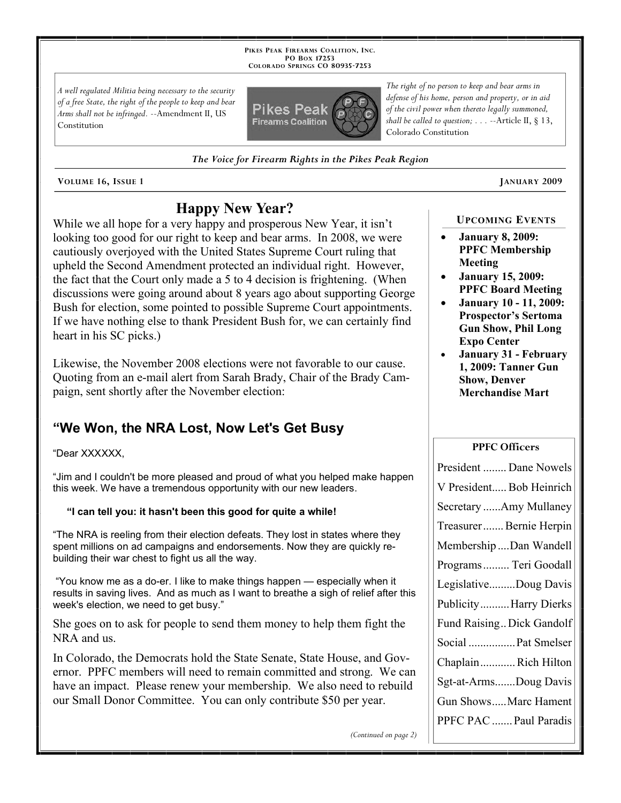**PIKES PEAK FIREARMS COALITION, INC. PO BOX 17253 COLORADO SPRINGS CO 80935 -7253**

*A well regulated Militia being necessary to the security of a free State, the right of the people to keep and bear Arms shall not be infringed.* --Amendment II, US Constitution



*The Voice for Firearm Rights in the Pikes Peak Region*

**VOLUME 16, ISSUE 1 JANUARY 2009**

# **Happy New Year?**

While we all hope for a very happy and prosperous New Year, it isn't looking too good for our right to keep and bear arms. In 2008, we were cautiously overjoyed with the United States Supreme Court ruling that upheld the Second Amendment protected an individual right. However, the fact that the Court only made a 5 to 4 decision is frightening. (When discussions were going around about 8 years ago about supporting George Bush for election, some pointed to possible Supreme Court appointments. If we have nothing else to thank President Bush for, we can certainly find heart in his SC picks.)

Likewise, the November 2008 elections were not favorable to our cause. Quoting from an e-mail alert from Sarah Brady, Chair of the Brady Campaign, sent shortly after the November election:

# **"We Won, the NRA Lost, Now Let's Get Busy**

#### "Dear XXXXXX,

"Jim and I couldn't be more pleased and proud of what you helped make happen this week. We have a tremendous opportunity with our new leaders.

#### **"I can tell you: it hasn't been this good for quite a while!**

"The NRA is reeling from their election defeats. They lost in states where they spent millions on ad campaigns and endorsements. Now they are quickly rebuilding their war chest to fight us all the way.

"You know me as a do-er. I like to make things happen — especially when it results in saving lives. And as much as I want to breathe a sigh of relief after this week's election, we need to get busy."

She goes on to ask for people to send them money to help them fight the NRA and us.

In Colorado, the Democrats hold the State Senate, State House, and Governor. PPFC members will need to remain committed and strong. We can have an impact. Please renew your membership. We also need to rebuild our Small Donor Committee. You can only contribute \$50 per year.

*The right of no person to keep and bear arms in defense of his home, person and property, or in aid of the civil power when thereto legally summoned, shall be called to question; . . .* --Article II, § 13, Colorado Constitution

#### **UPCOMING EVENTS**

- **January 8, 2009: PPFC Membership Meeting**
- **January 15, 2009: PPFC Board Meeting**
- **January 10 11, 2009: Prospector's Sertoma Gun Show, Phil Long Expo Center**
- **January 31 February 1, 2009: Tanner Gun Show, Denver Merchandise Mart**

#### **PPFC Officers**

| President  Dane Nowels    |
|---------------------------|
| V President Bob Heinrich  |
| Secretary Amy Mullaney    |
| Treasurer Bernie Herpin   |
| Membership Dan Wandell    |
| Programs  Teri Goodall    |
| LegislativeDoug Davis     |
| Publicity Harry Dierks    |
| Fund Raising Dick Gandolf |
| Social  Pat Smelser       |
| ChaplainRich Hilton       |
| Sgt-at-ArmsDoug Davis     |
| Gun ShowsMarc Hament      |
| PPFC PAC  Paul Paradis    |

*(Continued on page 2)*